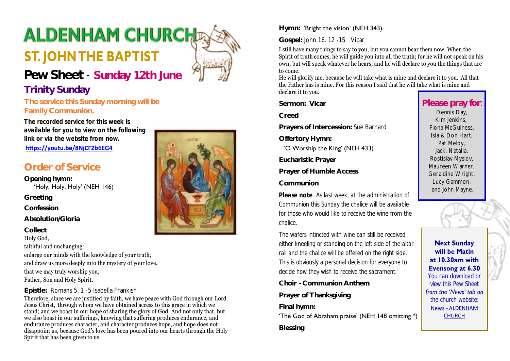# **ALDENHAM CHURCH**

# **ST. JOHN THE BAPTIST**

# **Pew Sheet** - **Sunday 12th June**

# **Trinity Sunday**

**The service this Sunday morning will be Family Communion.**

*The recorded service for this week is available for you to view on the following link or via the website from now.*

**<https://youtu.be/8NjCF2b6EG4>**

# **Order of Service**

**Opening hymn:**  'Holy, Holy, Holy' (NEH 146) **Greeting**

**Confession**

**Absolution/Gloria**

**Collect**

Holy God,

faithful and unchanging:

enlarge our minds with the knowledge of your truth,

and draw us more deeply into the mystery of your love,

that we may truly worship you,

Father, Son and Holy Spirit.

#### **Epistle:** Romans 5. 1 -5 Isabella Frankish

Therefore, since we are justified by faith, we have peace with God through our Lord Jesus Christ, through whom we have obtained access to this grace in which we stand; and we boast in our hope of sharing the glory of God. And not only that, but we also boast in our sufferings, knowing that suffering produces endurance, and endurance produces character, and character produces hope, and hope does not disappoint us, because God's love has been poured into our hearts through the Holy Spirit that has been given to us.



#### **Hymn:** 'Bright the vision' (NEH 343)

**Gospel:** John 16. 12 -15 Vicar

I still have many things to say to you, but you cannot bear them now. When the Spirit of truth comes, he will guide you into all the truth; for he will not speak on his own, but will speak whatever he hears, and he will declare to you the things that are to come.

He will glorify me, because he will take what is mine and declare it to you. All that the Father has is mine. For this reason I said that he will take what is mine and declare it to you.

**Sermon: Vicar**

**Creed**

**Prayers of Intercession:** Sue Barnard

**Offertory Hymn:** 

'O Worship the King' (NEH 433)

**Eucharistic Prayer**

**Prayer of Humble Access**

**Communion**

*Please note As last week, at the administration of Communion this Sunday the chalice will be available for those who would like to receive the wine from the chalice.*

*The wafers intincted with wine can still be received either kneeling or standing on the left side of the altar rail and the chalice will be offered on the right side. This is obviously a personal decision for everyone to decide how they wish to receive the sacrament.'*

**Choir - Communion Anthem**

**Prayer of Thanksgiving**

**Final hymn:** 

'The God of Abraham praise' (NEH 148 omitting \*) **Blessing**

# **Please pray for**:

Dennis Day, Kim Jenkins, Fiona McGuiness, Isla & Don Hart, Pat Meloy, Jack, Natalia, Rostislav Myslov, Maureen Warner, Geraldine Wright, Lucy Gammon, and John Mayne.

**Next Sunday** will be Matin at 10.30am with Evensong at 6.30 *You can download or view this Pew Sheet from the 'News' tab on the church website:* News - [ALDENHAM](https://aldenhamchurch.com/news/)  [CHURCH](https://aldenhamchurch.com/news/)